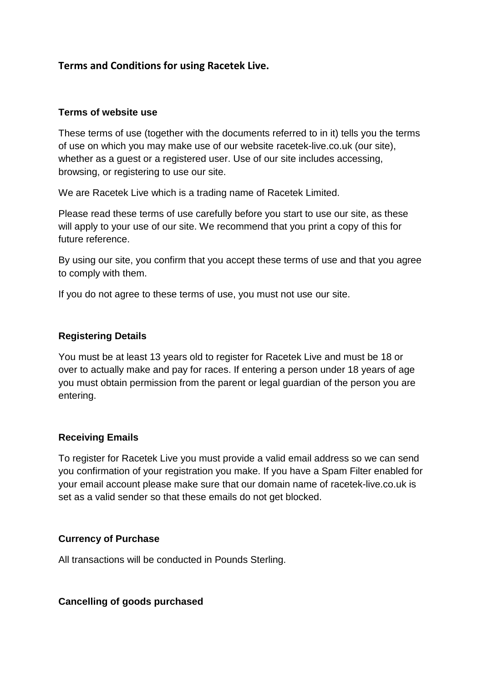# **Terms and Conditions for using Racetek Live.**

#### **Terms of website use**

These terms of use (together with the documents referred to in it) tells you the terms of use on which you may make use of our website racetek-live.co.uk (our site), whether as a guest or a registered user. Use of our site includes accessing, browsing, or registering to use our site.

We are Racetek Live which is a trading name of Racetek Limited.

Please read these terms of use carefully before you start to use our site, as these will apply to your use of our site. We recommend that you print a copy of this for future reference.

By using our site, you confirm that you accept these terms of use and that you agree to comply with them.

If you do not agree to these terms of use, you must not use our site.

#### **Registering Details**

You must be at least 13 years old to register for Racetek Live and must be 18 or over to actually make and pay for races. If entering a person under 18 years of age you must obtain permission from the parent or legal guardian of the person you are entering.

#### **Receiving Emails**

To register for Racetek Live you must provide a valid email address so we can send you confirmation of your registration you make. If you have a Spam Filter enabled for your email account please make sure that our domain name of racetek-live.co.uk is set as a valid sender so that these emails do not get blocked.

## **Currency of Purchase**

All transactions will be conducted in Pounds Sterling.

**Cancelling of goods purchased**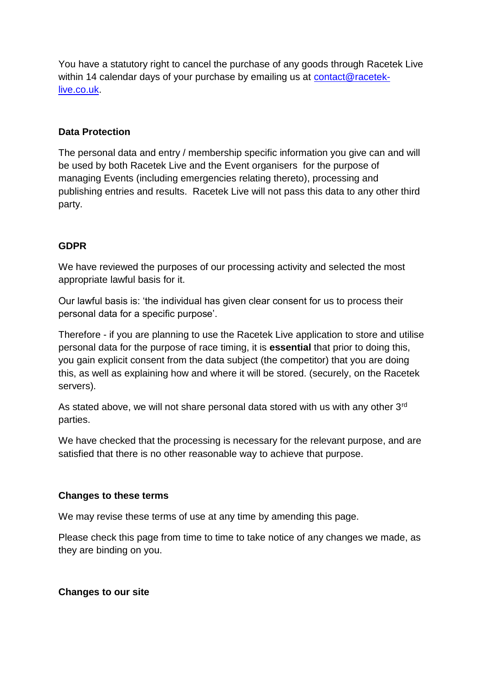You have a statutory right to cancel the purchase of any goods through Racetek Live within 14 calendar days of your purchase by emailing us at [contact@racetek](mailto:contact@racetek-live.co.uk)[live.co.uk.](mailto:contact@racetek-live.co.uk)

#### **Data Protection**

The personal data and entry / membership specific information you give can and will be used by both Racetek Live and the Event organisers for the purpose of managing Events (including emergencies relating thereto), processing and publishing entries and results. Racetek Live will not pass this data to any other third party.

#### **GDPR**

We have reviewed the purposes of our processing activity and selected the most appropriate lawful basis for it.

Our lawful basis is: 'the individual has given clear consent for us to process their personal data for a specific purpose'.

Therefore - if you are planning to use the Racetek Live application to store and utilise personal data for the purpose of race timing, it is **essential** that prior to doing this, you gain explicit consent from the data subject (the competitor) that you are doing this, as well as explaining how and where it will be stored. (securely, on the Racetek servers).

As stated above, we will not share personal data stored with us with any other 3rd parties.

We have checked that the processing is necessary for the relevant purpose, and are satisfied that there is no other reasonable way to achieve that purpose.

#### **Changes to these terms**

We may revise these terms of use at any time by amending this page.

Please check this page from time to time to take notice of any changes we made, as they are binding on you.

## **Changes to our site**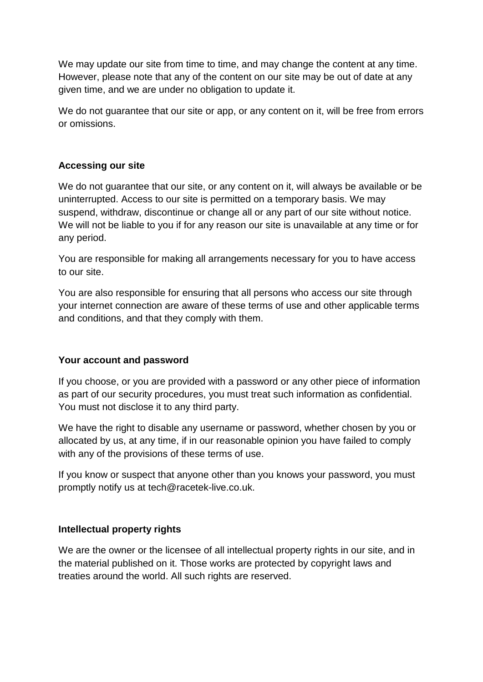We may update our site from time to time, and may change the content at any time. However, please note that any of the content on our site may be out of date at any given time, and we are under no obligation to update it.

We do not quarantee that our site or app, or any content on it, will be free from errors or omissions.

## **Accessing our site**

We do not guarantee that our site, or any content on it, will always be available or be uninterrupted. Access to our site is permitted on a temporary basis. We may suspend, withdraw, discontinue or change all or any part of our site without notice. We will not be liable to you if for any reason our site is unavailable at any time or for any period.

You are responsible for making all arrangements necessary for you to have access to our site.

You are also responsible for ensuring that all persons who access our site through your internet connection are aware of these terms of use and other applicable terms and conditions, and that they comply with them.

## **Your account and password**

If you choose, or you are provided with a password or any other piece of information as part of our security procedures, you must treat such information as confidential. You must not disclose it to any third party.

We have the right to disable any username or password, whether chosen by you or allocated by us, at any time, if in our reasonable opinion you have failed to comply with any of the provisions of these terms of use.

If you know or suspect that anyone other than you knows your password, you must promptly notify us at tech@racetek-live.co.uk.

## **Intellectual property rights**

We are the owner or the licensee of all intellectual property rights in our site, and in the material published on it. Those works are protected by copyright laws and treaties around the world. All such rights are reserved.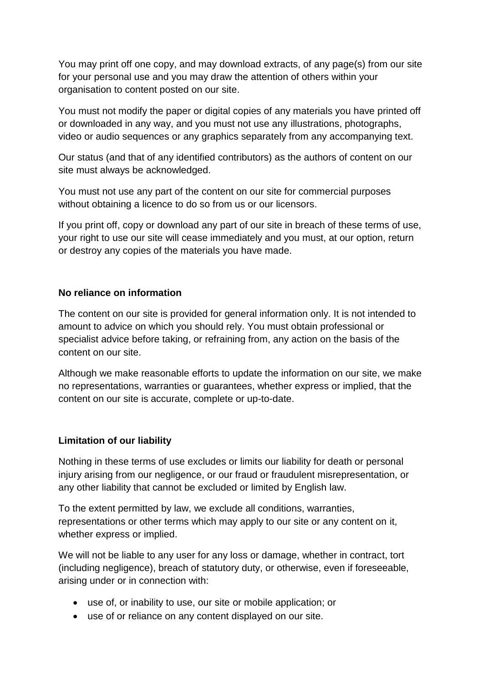You may print off one copy, and may download extracts, of any page(s) from our site for your personal use and you may draw the attention of others within your organisation to content posted on our site.

You must not modify the paper or digital copies of any materials you have printed off or downloaded in any way, and you must not use any illustrations, photographs, video or audio sequences or any graphics separately from any accompanying text.

Our status (and that of any identified contributors) as the authors of content on our site must always be acknowledged.

You must not use any part of the content on our site for commercial purposes without obtaining a licence to do so from us or our licensors.

If you print off, copy or download any part of our site in breach of these terms of use, your right to use our site will cease immediately and you must, at our option, return or destroy any copies of the materials you have made.

## **No reliance on information**

The content on our site is provided for general information only. It is not intended to amount to advice on which you should rely. You must obtain professional or specialist advice before taking, or refraining from, any action on the basis of the content on our site.

Although we make reasonable efforts to update the information on our site, we make no representations, warranties or guarantees, whether express or implied, that the content on our site is accurate, complete or up-to-date.

# **Limitation of our liability**

Nothing in these terms of use excludes or limits our liability for death or personal injury arising from our negligence, or our fraud or fraudulent misrepresentation, or any other liability that cannot be excluded or limited by English law.

To the extent permitted by law, we exclude all conditions, warranties, representations or other terms which may apply to our site or any content on it, whether express or implied.

We will not be liable to any user for any loss or damage, whether in contract, tort (including negligence), breach of statutory duty, or otherwise, even if foreseeable, arising under or in connection with:

- use of, or inability to use, our site or mobile application; or
- use of or reliance on any content displayed on our site.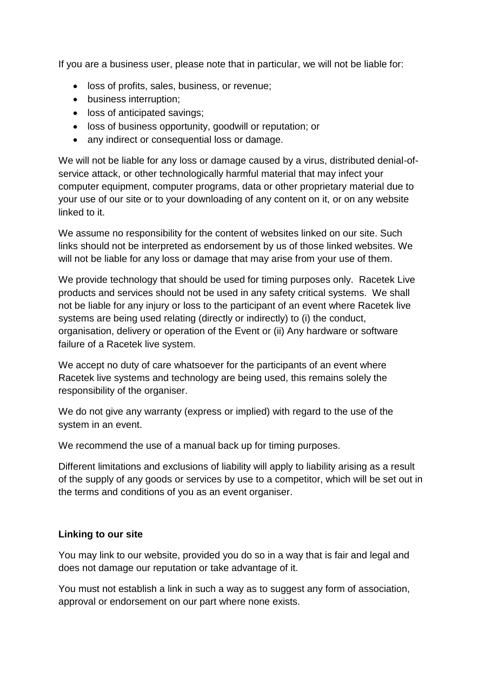If you are a business user, please note that in particular, we will not be liable for:

- loss of profits, sales, business, or revenue;
- business interruption;
- loss of anticipated savings:
- loss of business opportunity, goodwill or reputation; or
- any indirect or consequential loss or damage.

We will not be liable for any loss or damage caused by a virus, distributed denial-ofservice attack, or other technologically harmful material that may infect your computer equipment, computer programs, data or other proprietary material due to your use of our site or to your downloading of any content on it, or on any website linked to it.

We assume no responsibility for the content of websites linked on our site. Such links should not be interpreted as endorsement by us of those linked websites. We will not be liable for any loss or damage that may arise from your use of them.

We provide technology that should be used for timing purposes only. Racetek Live products and services should not be used in any safety critical systems. We shall not be liable for any injury or loss to the participant of an event where Racetek live systems are being used relating (directly or indirectly) to (i) the conduct, organisation, delivery or operation of the Event or (ii) Any hardware or software failure of a Racetek live system.

We accept no duty of care whatsoever for the participants of an event where Racetek live systems and technology are being used, this remains solely the responsibility of the organiser.

We do not give any warranty (express or implied) with regard to the use of the system in an event.

We recommend the use of a manual back up for timing purposes.

Different limitations and exclusions of liability will apply to liability arising as a result of the supply of any goods or services by use to a competitor, which will be set out in the terms and conditions of you as an event organiser.

## **Linking to our site**

You may link to our website, provided you do so in a way that is fair and legal and does not damage our reputation or take advantage of it.

You must not establish a link in such a way as to suggest any form of association, approval or endorsement on our part where none exists.